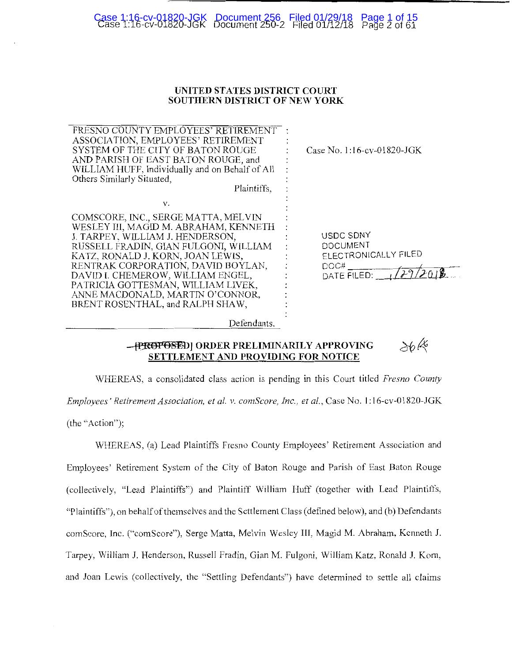# Case 1:16-cv-01820-JGK Document 250-2 Filed 01/12/18 Page 2 of 61 Case 1:16-cv-01820-JGK Document 256 Filed 01/29/18 Page 1 of 15

# **UNITED STATES DISTRICT COURT SOUTHERN DISTRICT OF NEW YORK**

| FRESNO COUNTY EMPLOYEES' RETIREMENT<br>ASSOCIATION, EMPLOYEES' RETIREMENT<br>SYSTEM OF THE CITY OF BATON ROUGE<br>AND PARISH OF EAST BATON ROUGE, and<br>WILLIAM HUFF, Individually and on Behalf of All<br>Others Similarly Situated,<br>Plaintiffs,                                                                                                                                         | Case No. 1:16-cv-01820-JGK                                                     |
|-----------------------------------------------------------------------------------------------------------------------------------------------------------------------------------------------------------------------------------------------------------------------------------------------------------------------------------------------------------------------------------------------|--------------------------------------------------------------------------------|
| v.<br>COMSCORE, INC., SERGE MATTA, MELVIN<br>WESLEY III, MAGID M. ABRAHAM, KENNETH<br>J. TARPEY, WILLIAM J. HENDERSON,<br>RUSSELL FRADIN, GIAN FULGONI, WILLIAM<br>KATZ, RONALD J. KORN, JOAN LEWIS,<br>RENTRAK CORPORATION, DAVID BOYLAN,<br>DAVID I. CHEMEROW, WILLIAM ENGEL,<br>PATRICIA GOTTESMAN, WILLIAM LIVEK,<br>ANNE MACDONALD, MARTIN O'CONNOR,<br>BRENT ROSENTHAL, and RALPH SHAW, | USDC SDNY<br><b>DOCUMENT</b><br>ELECTRONICALLY FILED<br>DOC#<br>DATE FILED: 11 |
| Defendants.                                                                                                                                                                                                                                                                                                                                                                                   |                                                                                |

#### $36k$ **-PREFFOSED| ORDER PRELIMINARILY APPROVING SETTLEMENT AND PROVIDING FOR NOTICE**

WHEREAS, a consolidated class action is pending in this Court titled *Fresno Counly Employees' Retirement Association, et al. v. comScore, Inc., et al., Case No. 1:16-cv-01820-JGK* (the "Action");

WHEREAS, (a) Lead Plaintiffs Fresno County Employees' Retirement Association and Employees' Retirement System of the City of Baton Rouge and Parish of East Baton Rouge (collectively, "Lead Plaintiffs") and Plaintiff William Huff (together with Lead Plaintiffs, "Plaintiffs"), on behalf of themselves and the Settlement Class (defined below), and (b) Defendants comScore, Inc. ("comScore"), Serge Matta, Melvin Wesley Ill, Magid M. Abraham, Kenneth **J.**  Tarpey, William J. Henderson, Russell Fradin, Gian M. Fulgoni, William Katz, Ronald J. Korn, and Joan Lewis (collectively, the "Settling Defendants") have determined to settle all claims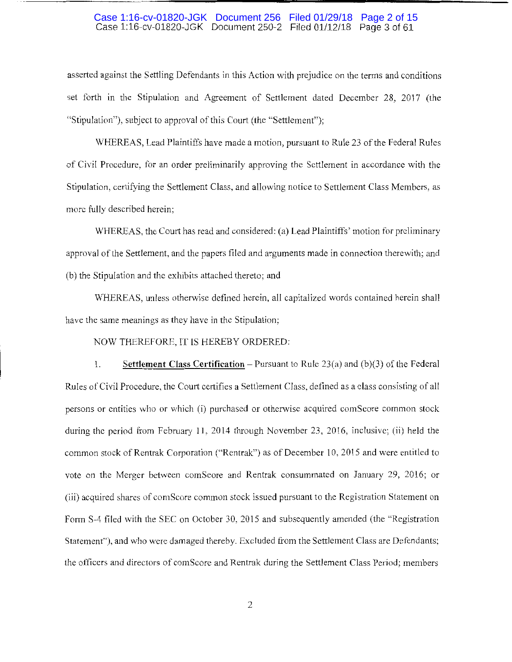# Case 1:16-cv-01820-JGK Document 250-2 Filed 01112/18 Page 3 of 61 Case 1:16-cv-01820-JGK Document 256 Filed 01/29/18 Page 2 of 15

asserted against the Settling Defendants in this Action with prejudice on the terms and conditions set forth in the Stipulation and Agreement of Settlement dated December 28, 2017 (the "Stipulation"), subject to approval of this Court (the "Settlement");

WHEREAS, Lead Plaintiffs have made a motion, pursuant to Rule 23 of the Federal Rules of Civil Procedure, for an order preliminarily approving the Settlement in accordance with the Stipulation, certifying the Settlement Class, and allowing notice to Settlement Class Members, as more fully described herein;

WHEREAS, the Court has read and considered: (a) Lead Plaintiffs' motion for preliminary approval of the Settlement, and the papers filed and arguments made in connection therewith; and (b) the Stipulation and the exhibits attached thereto; and

WHEREAS, unless otherwise defined herein, all capitalized words contained herein shall have the same meanings as they have in the Stipulation;

NOW THEREFORE, IT IS HEREBY ORDERED:

1. **Settlement Class Certification** – Pursuant to Rule 23(a) and (b)(3) of the Federal Rules of Civil Procedure, the Court certifies a Settlement Class, defined as a class consisting of all persons or entities who or which (i) purchased or otherwise acquired comScore common stock during the period from February 11, 2014 through November 23, 2016, inclusive; (ii) held the common stock of Rentrak Corporation ("Rentrak") as of December 10, 2015 and were entitled to vote on the Merger between comScore and Rentrak consummated on January 29, 2016; or (iii) acquired shares of comScore common stock issued pursuant lo the Registration Statement on Form S-4 filed with the SEC on October 30, 2015 and subsequently amended (the "Registration Statement"), and who were damaged thereby. Excluded from the Settlement Class are Defendants; the otricers and directors of comScore and Rentrak during the Settlement Class Period; members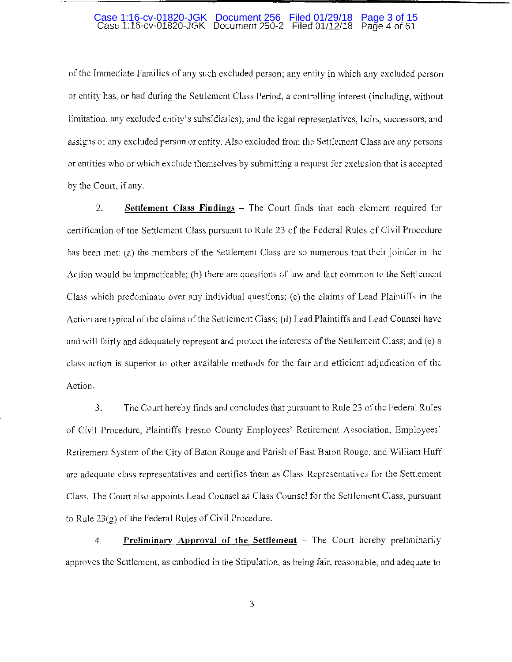#### Case 1:16-cv-01820-JGK Document 250-2 Filed 01/12/18 Page 4 of 61 Case 1:16-cv-01820-JGK Document 256 Filed 01/29/18 Page 3 of 15

of the Immediate Families of any such excluded person; any entity in which any excluded person or entity has, or had during the Settlement Class Period, a controlling interest (including, without limitation, any excluded entity's subsidiaries); and the legal representatives, heirs, successors, and assigns of any excluded person or entity. Also excluded from the Settlement Class are any persons or entities who or which exclude themselves by submitting a request for exclusion that is accepted by the Court, if any.

2. **Settlement Class Findings** – The Court finds that each element required for certification of the Settlement Class pursuant to Rule 23 of the Federal Rules of Civil Procedure has been met: (a) the members of the Settlement Class are so numerous that their joinder in the Action would be impracticable; (b) there are questions of law and fact common to the Settlement Class which predominate over any individual questions; (c) the claims of Lead Plaintiffs in the Action are typical of the claims of the Settlement Class; (d) Lead Plaintiffs and Lead Counsel have and will fairly and adequately represent and protect the interests of the Settlement Class; and (e) a class action is superior to other available methods for the fair and efficient adjudication of the Action.

3. The Court hereby finds and concludes that pursuant to Rule 23 of the Federal Rules of Civil Procedure, Plaintiffs Fresno County Employees' Retirement Association, Employees' Retirement System of the City of Baton Rouge and Parish of East Baton Rouge, and William Huff are adequate class representatives and certifies them as Class Representatives for the Settlement Class. The Court also appoints Lead Counsel as Class Counsel for the Settlement Class, pursuant to Rule 23(g) of the Federal Rules of Civil Procedure.

4. **Preliminary Approval of the Settlement** – The Court hereby preliminarily approves the Settlement, as embodied in the Stipulation, as being fair, reasonable, and adequate to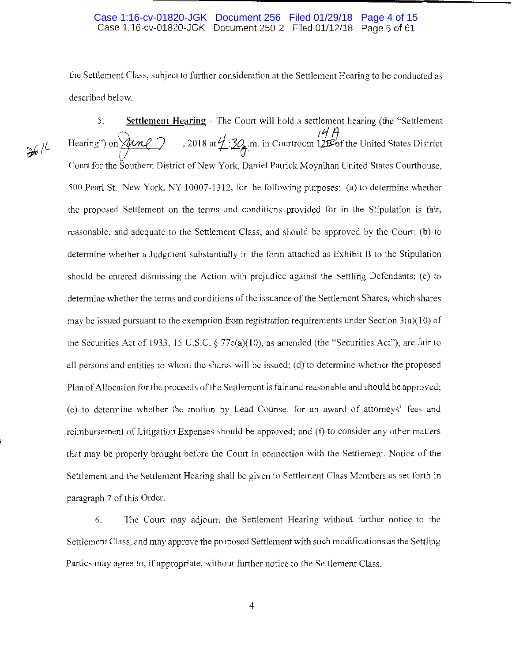# Case 1:16-cv-01820-JGK Document 250-2 Filed 01/12/18 Page 5 of 61 Case 1:16-cv-01820-JGK Document 256 Filed 01/29/18 Page 4 of 15

the Settlement Class, subject to further consideration at the Settlement Hearing to be conducted as described below.

 $361$ 

5. **Settlement Hearing** – The Court will hold a settlement hearing (the "Settlement" Hearing") on  $\overline{M}$  *n* 2018 at  $\frac{1}{4}$ :  $\frac{30}{4}$  m. in Courtroom 12B of the United States District Court for the Southern District of New Yark, Daniel Patrick Moynihan United States Courthouse, 500 Pearl St., New York, NY 10007-1312, for the following purposes: (a) to determine whether the proposed Settlement on the terms and conditions provided for in the Stipulation is fair, reasonable, and adequate to the Settlement Class, and should be approved by the Court; (b) to determine whether a Judgment substantially in the form attached as Exhibit B to the Stipulation should be entered dismissing the Action with prejudice against the Settling Defendants; (c) to determine whether the terms and conditions of the issuance of the Settlement Shares, which shares may be issued pursuant to the exemption from registration requirements under Section  $3(a)(10)$  of the Securities Act of 1933, 15 U.S.C.  $\S$  77 $c$ (a)(10), as amended (the "Securities Act"), are fair to all persons and entities to whom the shares will be issued; (d) to determine whether the proposed Plan of Allocation for the proceeds of the Settlement is fair and reasonable and should be approved; (e) to determine whether the motion by Lead Counsel for an award of attorneys' fees and reimbursement of Litigation Expenses should be approved; and (f) to consider any other matters that may be properly brought before the Court in connection with the Settlement. Notice of the Settlement and the Settlement Hearing shall be given to Settlement Class Members as set forth in paragraph 7 of this Order.

6. The Court may adjourn the Settlement Hearing without further notice to the Settlement Class, and may approve the proposed Settlement with such modifications as the Settling Parties may agree to, if appropriate, without further notice to the Settlement Class.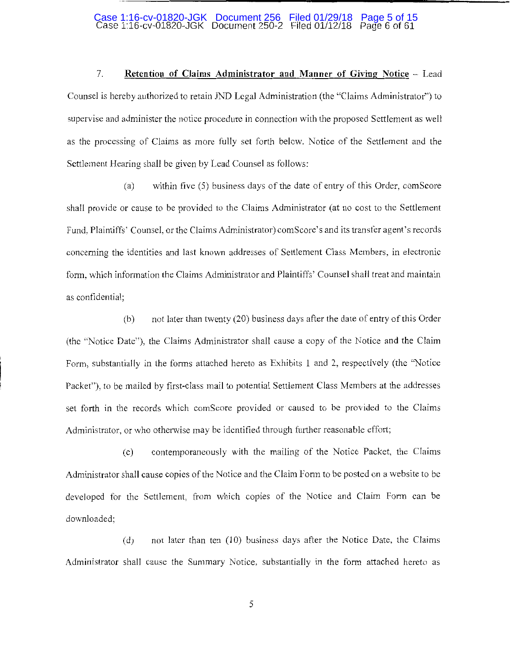#### Case 1:16-cv-01820-JGK Document 250-2 Filed 01/12/18 Page 6 of 61 Case 1:16-cv-01820-JGK Document 256 Filed 01/29/18 Page 5 of 15

7. **Retention of Claims Administrator and Manner of Giving Notice** - Lead Counsel is hereby authorized to retain JND Legal Administration (the "Claims Administrator") to supervise and administer the notice procedure in connection with the proposed Settlement as well as the processing of Claims as more fully set forth below. Notice of the Settlement and the Settlement Hearing shall be given by Lead Counsel as follows:

(a) within five (5) business days of the date of entry of this Order, com Score shall provide or cause to be provided to the Claims Administrator (at no cost to the Settlement Fund, Plaintiffs' Counsel, or the Claims Administrator) comScore's and its transfer agent's records concerning the identities and last known addresses of Settlement Class Members, in electronic form, which information the Claims Administrator and Plaintiffs' Counsel shall treat and maintain as confidential;

(b) not later than twenty (20) business days after the date of entry of this Order (the "Notice Date"), the Claims Administrator shall cause a copy of the Notice and the Claim Form, substantially in the forms attached hereto as Exhibits 1 and 2, respectively (the "Notice Packet"), to be mailed by first-class mail to potential Settlement Class Members at the addresses set forth in the records which comScore provided or caused to be provided to the Claims Administrator, or who otherwise may be identified through further reasonable effort;

(c) contemporaneously with the mailing of the Notice Packet, the Claims Administrator shall cause copies of the Notice and the Claim Fonn to be posted on a website to be developed for the Settlement, from which copies of the Notice and Claim Fonn can be downloaded;

(d) not later than ten (10) business days after the Notice Date, the Claims Administrator shall cause the Summary Notice, substantially in the form attached hereto as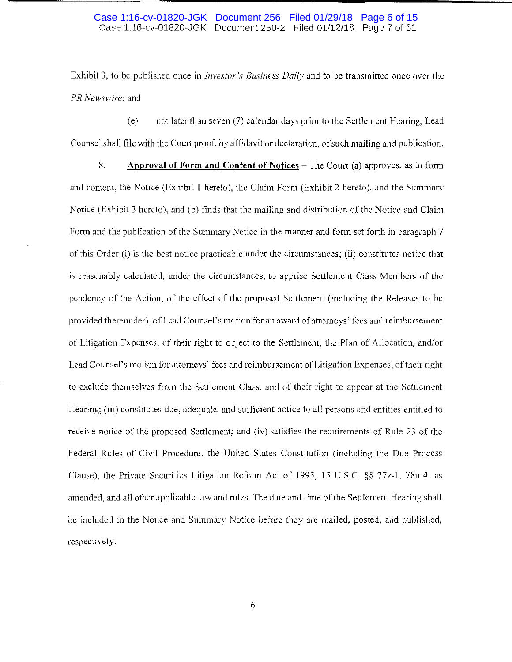Exhibit 3, to be published once in *Investor's Business Daily* and to be transmitted once over the *PR Newswire;* and

( e) not later than seven (7) calendar days prior to the Settlement Hearing, Lead Counsel shall file with the Court proof, by affidavit or declaration, of such mailing and publication.

8. **Approval of Form and Content of Notices** - The Court (a) approves, as to form and content, the Notice (Exhibit **1** hereto), the Claim Form (Exhibit 2 hereto), and the Summary Notice (Exhibit 3 hereto), and (b) finds that the mailing and distribution of the Notice and Claim Form and the publication of the Summary Notice in the manner and form set forth in paragraph 7 of this Order (i) is the best notice practicable under the circumstances; (ii) constitutes notice that is reasonably calculated, under the circumstances, to apprise Settlement Class Members of the pendency of the Action, of the effect of the proposed Settlement (including the Releases to be provided thereunder), of Lead Counsel's motion for an award of attorneys' fees and reimbursement of Litigation Expenses, of their right to object to the Settlement, the Plan of Allocation, and/or Lead Counsel's motion for attorneys' fees and reimbursement of Litigation Expenses, of their right to exclude themselves from the Settlement Class, and of their right to appear at the Settlement Hearing; (iii) constitutes due, adequate, and sufficient notice to all persons and entities entitled to receive notice of the proposed Settlement; and (iv) satisfies the requirements of Rule 23 of the Federal Rules of Civil Procedure, the United States Constitution (including the Due Process Clause), the Private Securities Litigation Reform Act of 1995, 15 U.S.C. §§ 77z-1, 78u-4, as amended, and all other applicable law and rules. The date and time of the Settlement Hearing shall be included in the Notice and Summary Notice before they are mailed, posted, and published, respectively.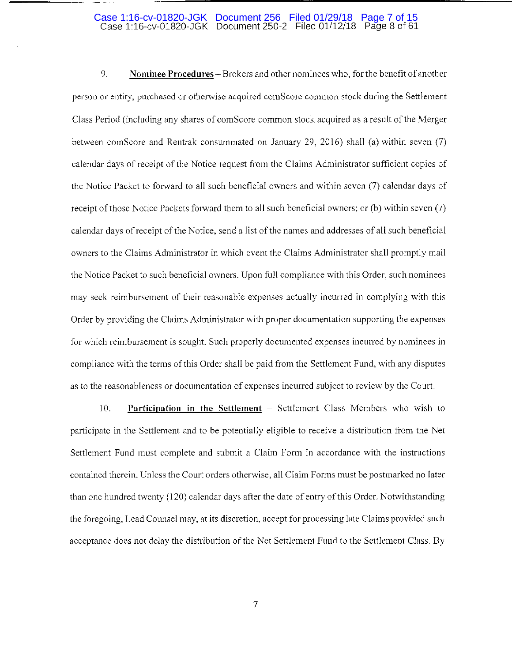#### Case 1:16-cv-01820-JGK Document 250-2 Filed 01/12/18 Page 8 of 61 Case 1:16-cv-01820-JGK Document 256 Filed 01/29/18 Page 7 of 15

9. **Nominee Procedures-** Brokers and other nominees who, for the benefit ofanother person or entity, purchased or otherwise acquired comScorc common stock during the Settlement Class Period (including any shares of comScore common stock acquired as a result of the Merger between comScore and Rentrak consummated on January 29, 2016) shall (a) within seven (7) calendar days of receipt of the Notice request from the Claims Administrator sufficient copies of the Notice Packet to forward to all such beneficial owners and within seven (7) calendar days of receipt of those Notice Packets forward them to all such beneficial owners; or (b) within seven (7) calendar days of receipt of the Notice, send a list of the names and addresses of all such beneficial owners to the Claims Administrator in which event the Claims Administrator shall promptly mail the Notice Packet to such beneficial owners. Upon full compliance with this Order, such nominees may seek reimbursement of their reasonable expenses actually incmred in complying with this Order by providing the Claims Administrator with proper documentation supporting the expenses for which reimbursement is sought. Such properly documented expenses incurred by nominees in compliance with the tenns of this Order shall be paid from the Settlement Fund, with any disputes as to the reasonableness or documentation of expenses incurred subject to review by the Court.

10. **Participation in the Settlement** – Settlement Class Members who wish to participate in the Settlement and to be potentially eligible to receive a distribution from the Net Settlement Fund must complete and submit a Claim Form in accordance with the instructions contained therein. Unless the Court orders otherwise, all Claim Forms must be postmarked no later than one hundred twenty (120) calendar days after the date of entry of this Order. Notwithstanding the foregoing, Lead Counsel may, at its discretion, accept for processing late Claims provided such acceptance does not delay the distribution of the Net Settlement Fund to the Settlement Class. By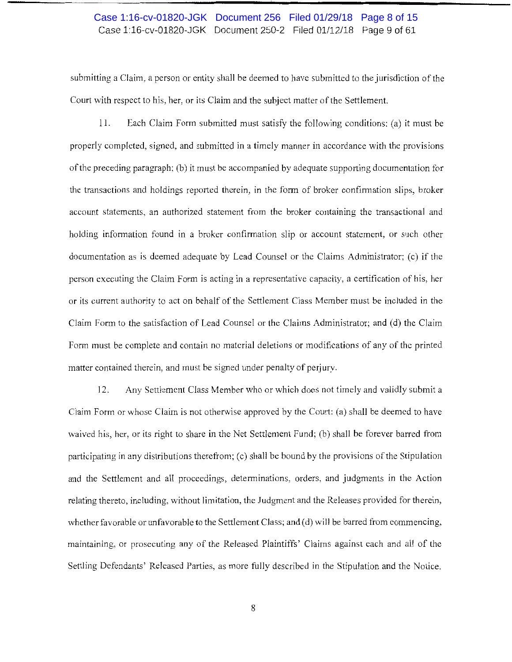# Case 1:16-cv-01820-JGK Document 250-2 Filed 01/12/18 Page 9 of 61 Case 1:16-cv-01820-JGK Document 256 Filed 01/29/18 Page 8 of 15

submitting a Claim, a person or entity shall be deemed to have submitted to the jurisdiction of the Court with respect to his, her, or its Claim and the subject matter of the Settlement.

11. Each Claim Form submitted must satisfy the following conditions: (a) it must be properly completed, signed, and submitted in a timely manner in accordance with the provisions of the preceding paragraph; (b) it must be accompanied by adequate supporting documentation for the transactions and holdings reported therein, in the f01m of broker confirmation slips, broker account statements, an authorized statement from the broker containing the transactional and holding information found in a broker confirmation slip or account statement, or such other documentation as is deemed adequate by Lead Counsel or the Claims Administrator; (c) if the person executing the Claim Form is acting in a representative capacity, a certification of his, her or its current authority to act on behalf of the Settlement Class Member must be included in the Claim Form to the satisfaction of Lead Counsel or the Claims Administrator; and (d) the Claim Form must be complete and contain no material deletions or modifications of any of the printed matter contained therein, and must be signed under penalty of perjury.

12. Any Settlement Class Member who or which does not timely and validly submit a Claim Form or whose Claim is not otherwise approved by the Court: (a) shall be deemed to have waived his, her, or its right to share in the Net Settlement Fund; (b) shall be forever barred from participating in any distributions therefrom; (c) shall be bound by the provisions of the Stipulation and the Settlement and all proceedings, detenninations, orders, and judgments in the Action relating thereto, including, without limitation, the Judgment and the Releases provided for therein, whether favorable or unfavorable to the Settlement Class; and (d) will be barred from commencing, maintaining, or prosecuting any of the Released Plaintiffs' Claims against each and all of the Settling Defendants' Released Parties, as more fully described in the Stipulation and the Notice.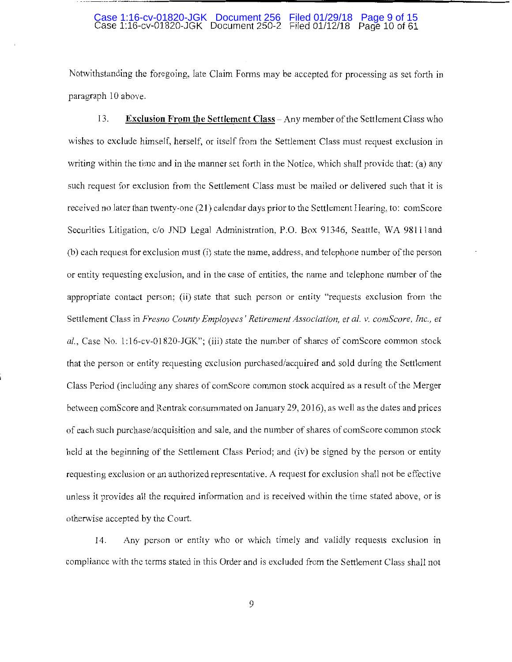#### Case 1:16-cv-01820-JGK Document 250-2 Filed 01/12/18 Page 10 of 61 Case 1:16-cv-01820-JGK Document 256 Filed 01/29/18 Page 9 of 15

---------------------------------------------

Notwithstanding the foregoing, late Claim Forms may be accepted for processing as set forth in paragraph 10 above.

13. **Exclusion From the Settlement Class-Any** member of the Settlement Class who wishes to exclude himself, herself, or itself from the Settlement Class must request exclusion in writing within the time and in the manner set forth in the Notice, which shall provide that: (a) any such request for exclusion from the Settlement Class must be mailed or delivered such that it is received no later than twenty-one (21) calendar days prior to the Settlement Hearing, to: comScore Securities Litigation, c/o *IND* Legal Administration, **P.O.** Box 91346, Seattle, WA 9811 land (b) each request for exclusion must (i) state the name, address, and telephone number of the person or entity requesting exclusion, and in the case of entities, the name and telephone number of the appropriate contact person; (ii) state that such person or entity "requests exclusion from the Settlement Class in *Fresno County Employees' Retirement Association, et al. v. comScore, Inc., et al.,* Case No. 1:16-cv-01820-JGK"; (iii) state the number of shares of comScore common stock that the person or entity requesting exclusion purchased/acquired and sold during the Settlement Class Period (including any shares of comScore common stock acquired as a result of the Merger between comScore and Rentrak consummated on January 29, 2016), as well as the dates and prices of each such purchase/acquisition and sale, and the number of shares of com Score common stock held at the beginning of the Settlement Class Period; and (iv) be signed by the person or entity requesting exclusion or an authorized representative. A request for exclusion shall not be effective unless it provides all the required information and is received within the time stated above, or is otherwise accepted by the Court.

14. Any person or entity who or which timely and validly requests exclusion in compliance with the terms stated in this Order and is excluded from the Settlement Class shall not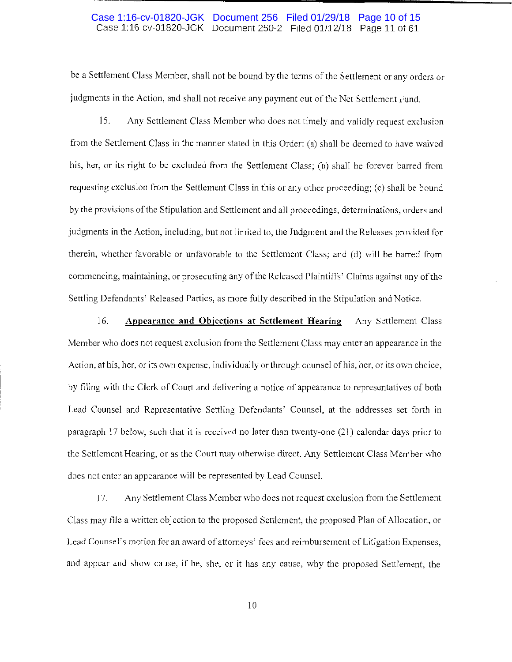### Case 1:16-cv-01820-JGK Document 250-2 Filed 01/12/18 Page 11 of 61 Case 1:16-cv-01820-JGK Document 256 Filed 01/29/18 Page 10 of 15

be a Settlement Class Member, shall not be bound by the terms of the Settlement or any orders or judgments in the Action, and shall not receive any payment out of the Net Settlement Fund.

15. Any Settlement Class Member who does not timely and validly request exclusion from the Settlement Class in the manner stated in this Order: (a) shall be deemed to have waived his, her, or its right to be excluded from the Settlement Class; (b) shall be forever barred from requesting exclusion from the Settlement Class in this or any other proceeding; (c) shall be bound by the provisions ofthe Stipulation and Settlement and all proceedings, determinations, orders and judgments in the Action, including, but not limited to, the Judgment and the Releases provided for therein, whether favorable or unfavorable to the Settlement Class; and (d) will be barred from commencing, maintaining, or prosecuting any of the Released Plaintiffs' Claims against any of the Settling Defendants' Released Parties, as more fully described in the Stipulation and Notice.

16. **Appearance and Objections at Settlement Hearing – Any Settlement Class** Member who does not request exclusion from the Settlement Class may enter an appearance in the Action, at his, her, or its own expense, individually or through counsel of his, her, or its own choice, by filing with the Clerk of Court and delivering a notice of appearance to representatives of both Lead Counsel and Representative Settling Defendants' Counsel, at the addresses set forth in paragraph 17 below, such that it is received no later than twenty-one (21) calendar days prior to the Settlement Hearing, or as the Court may otherwise direct. Any Settlement Class Member who does not enter an appearance will *be* represented by Lead Counsel.

17. Any Settlement Class Member who does not request exclusion from the Settlement Class may file a written objection to the proposed Settlement, the proposed Plan of Allocation, or Lead Counsel's motion for an award of attorneys' fees and reimbursement of Litigation Expenses, and appear and show cause, if he, she, or it has any cause, why the proposed Settlement, the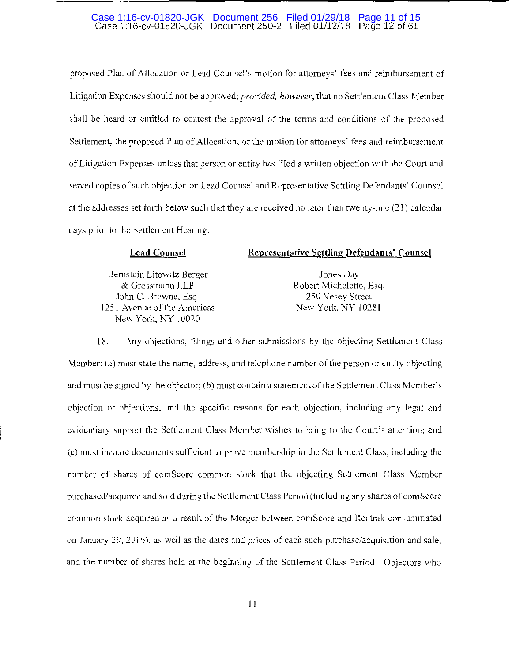# Case 1:16-cv-01820-JGK Document 250-2 Filed 01/12/18 Page 12 of 61 Case 1:16-cv-01820-JGK Document 256 Filed 01/29/18 Page 11 of 15

proposed Plan of Allocation or Lead Counsel's motion for attorneys' fees and reimbursement of Litigation Expenses should not be approved; *provided, however*, that no Settlement Class Member shall be heard or entitled to contest the approval of the terms and conditions of the proposed Settlement, the proposed Plan of Allocation, or the motion for attorneys' fees and reimbursement of Litigation Expenses unless that person or entity has filed a written objection with the Court and served copies of such objection on Lead Counsel and Representative Settling Defendants' Counsel at the addresses set forth below such that they are received no later than twenty-one (21) calendar days prior to the Settlement Hearing.

# **Lead Counsel**

Bernstein Litowitz Berger & Grossmann LLP John C. Browne, Esq. 1251 Avenue of the Americas New York, NY 10020

# **Representative Settling Defendants' Counsel**

Jones Day Robert Micheletto, Esq. 250 Vesey Street New York, NY 10281

18. Any objections, filings and other submissions by the objecting Settlement Class Member: (a) must state the name, address, and telephone number of the person or entity objecting and must be signed by the objector; (b) must contain a statement of the Settlement Class Member's objection or objections, and the specific reasons for each objection, including any legal and evidentiary support the Settlement Class Member wishes to bring to the Court's attention; and (c) must include documents sufficient to prove membership in the Settlement Class, including the number of shares of comScore common stock that the objecting Settlement Class Member purchased/acquired and sold during the Settlement Class Period (including any shares of comScore common stock acquired as a result of the Merger between comScore and Rentrak consummated on January 29, 2016), as well as the dates and prices of each such purchase/acquisition and sale, and the number of shares held at the beginning of the Settlement Class Period. Objectors who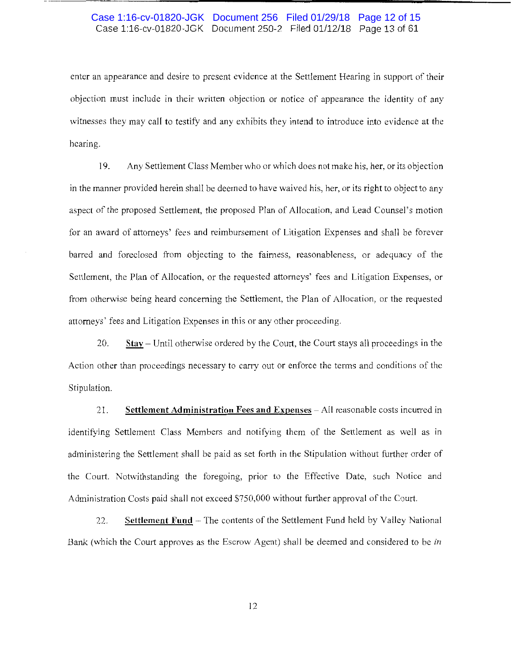# Case 1:16-cv-01820-JGK Document 250-2 Filed 01/12/18 Page 13 of 61 Case 1:16-cv-01820-JGK Document 256 Filed 01/29/18 Page 12 of 15

enter an appearance and desire to present evidence at the Settlement Hearing in support of their objection must include in their written objection or notice of appearance the identity of any witnesses they may call to testify and any exhibits they intend to introduce into evidence at the hearing.

19. Any Settlement Class Member who or which does not make his, her, or its objection in the manner provided herein shall be deemed to have waived his, her, or its right to object to any aspect of the proposed Settlement, the proposed Plan of Allocation, and Lead Counsel's motion for an award of attorneys' fees and reimbursement of Litigation Expenses and shall be forever barred and foreclosed from objecting to the fairness, reasonableness, or adequacy of the Settlement, the Plan of Allocation, or the requested attorneys' fees and Litigation Expenses, or from otherwise being heard concerning the Settlement, the Plan of Allocation, or the requested attorneys' fees and Litigation Expenses in this or any other proceeding.

20. **Stay-** Until otherwise ordered by the Court, the Court stays all proceedings in the Action other than proceedings necessary to carry out or enforce the terms and conditions of the Stipulation.

21. **Settlement Administration Fees and Expenses** - All reasonable costs incurred in identifying Settlement Class Members and notifying them of the Settlement as well as in administering the Settlement shall be paid as set forth in the Stipulation without further order of the Court. Notwithstanding the foregoing, prior to the Effective Date, such Notice and Administration Costs paid shall not exceed \$750,000 without further approval of the Court.

22. Settlement Fund - The contents of the Settlement Fund held by Valley National Bank (which the Court approves as the Escrow Agent) shall be deemed and considered to be *in*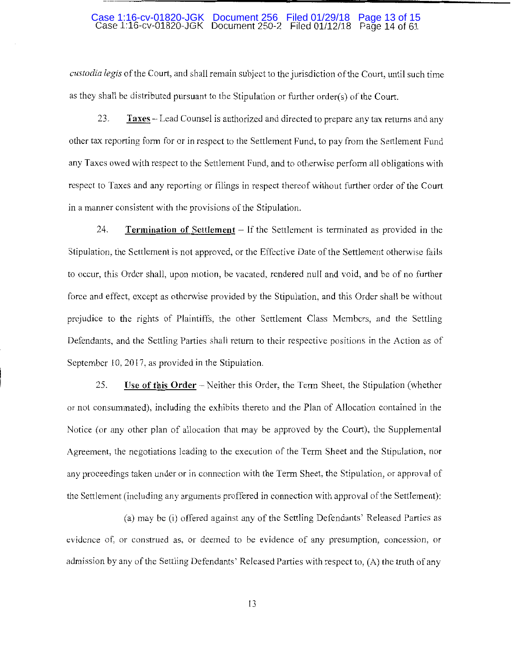#### Case 1:16-cv-01820-JGK Document 250-2 Filed 01112/18 Page 14 of 61 Case 1:16-cv-01820-JGK Document 256 Filed 01/29/18 Page 13 of 15

*custodia legis* of the Court, and shall remain subject to the jurisdiction of the Court, until such time as they shall be distributed pursuant to the Stipulation or further order(s) of the Court.

23. **Taxes** - Lead Counsel is authorized and directed to prepare any tax returns and any other tax reporting form for or in respect to the Settlement Fund, to pay from the Settlement Fund any Taxes owed with respect to the Settlement Fund, and to otherwise perform all obligations with respect to Taxes and any reporting or filings in respect thereof without further order of the Court in a manner consistent with the provisions of the Stipulation.

24. **Termination of Settlement** - If the Settlement is terminated as provided in the Stipulation, the Settlement is not approved, or the Effective Date of the Settlement otherwise fails to occur, this Order shall, upon motion, be vacated, rendered null and void, and be of no further force and effect, except as otherwise provided by the Stipulation, and this Order shall be without prejudice to the rights of Plaintiffs, the other Settlement Class Members, and the Settling Defendants, and the Settling Parties shall return to their respective positions in the Action as of September 10, 2017, as provided in the Stipulation.

25. **Use of this Order** - Neither this Order, the Term Sheet, the Stipulation (whether or not consummated), including the exhibits thereto and the Plan of Allocation contained in the Notice (or any other plan of allocation that may be approved by the Court), the Supplemental Agreement, the negotiations leading to the execution of the Term Sheet and the Stipulation, nor any proceedings taken under or in connection with the Term Sheet, the Stipulation, or approval of the Settlement (including any arguments proffered in connection with approval of the Settlement):

(a) may be (i) offered against any of the Settling Defendants' Released Parties as evidence of, or construed as, or deemed to be evidence of any presumption, concession, or admission by any of the Settling Defendants' Released Parties with respect to, (A) the truth of any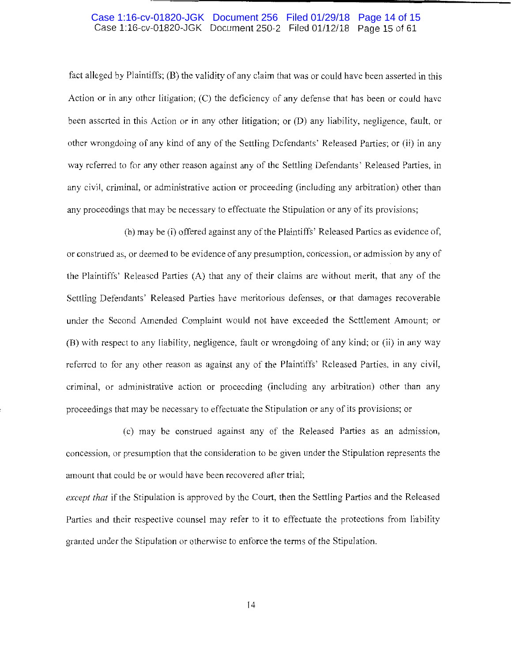# Case 1:16-cv-01820-JGK Document 250-2 Filed 01/12/18 Page 15 of 61 Case 1:16-cv-01820-JGK Document 256 Filed 01/29/18 Page 14 of 15

fact alleged by Plaintiffs; (B) the validity of any claim that was or could have been asserted in this Action or in any other litigation; (C) the deficiency of any defense that has been or could have been asserted in this Action or in any other litigation; or (D) any liability, negligence, fault, or other wrongdoing of any kind of any of the Settling Defendants' Released Parties; or (ii) in any way referred to for any other reason against any of the Settling Defendants' Released Parties, in any civil, criminal, or administrative action or proceeding (including any arbitration) other than any proceedings that may be necessary to effectuate the Stipulation or any of its provisions;

(b) may be (i) offered against any of the Plaintiffs' Released Parties as evidence of, or construed as, or deemed to be evidence of any presumption, concession, or admission by any of the Plaintiffs' Released Parties (A) that any of their claims are without merit, that any of the Settling Defendants' Released Parties have meritorious defenses, or that damages recoverable under the Second Amended Complaint would not have exceeded the Settlement Amount; or (B) with respect to any liability, negligence, fault or wrongdoing of any kind; or (ii) in any way referred to for any other reason as against any of the Plaintiffs' Released Parties, in any civil, criminal, or administrative action or proceeding (including any arbitration) other than any proceedings that may be necessary to effectuate the Stipulation or any of its provisions; or

( c) may be construed against any of the Released Parties as an admission, concession, or presumption that the consideration to be given under the Stipulation represents the amount that could be or would have been recovered after trial;

*except that* if the Stipulation is approved by the Court, then the Settling Parties and the Released Parties and their respective counsel may refer to it to effectuate the protections from liability granted under the Stipulation or otherwise to enforce the terms of the Stipulation.